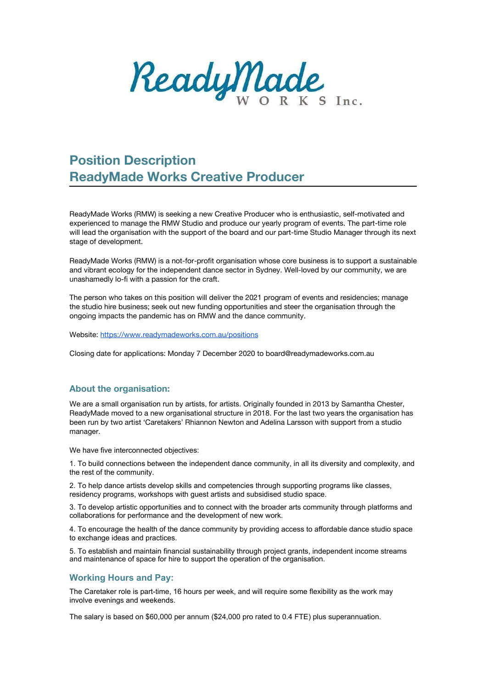ReadyMade

# **Position Description ReadyMade Works Creative Producer**

ReadyMade Works (RMW) is seeking a new Creative Producer who is enthusiastic, self-motivated and experienced to manage the RMW Studio and produce our yearly program of events. The part-time role will lead the organisation with the support of the board and our part-time Studio Manager through its next stage of development.

ReadyMade Works (RMW) is a not-for-profit organisation whose core business is to support a sustainable and vibrant ecology for the independent dance sector in Sydney. Well-loved by our community, we are unashamedly lo-fi with a passion for the craft.

The person who takes on this position will deliver the 2021 program of events and residencies; manage the studio hire business; seek out new funding opportunities and steer the organisation through the ongoing impacts the pandemic has on RMW and the dance community.

Website: <https://www.readymadeworks.com.au/positions>

Closing date for applications: Monday 7 December 2020 to board@readymadeworks.com.au

#### **About the organisation:**

We are a small organisation run by artists, for artists. Originally founded in 2013 by Samantha Chester, ReadyMade moved to a new organisational structure in 2018. For the last two years the organisation has been run by two artist 'Caretakers' Rhiannon Newton and Adelina Larsson with support from a studio manager.

We have five interconnected objectives:

1. To build connections between the independent dance community, in all its diversity and complexity, and the rest of the community.

2. To help dance artists develop skills and competencies through supporting programs like classes, residency programs, workshops with guest artists and subsidised studio space.

3. To develop artistic opportunities and to connect with the broader arts community through platforms and collaborations for performance and the development of new work.

4. To encourage the health of the dance community by providing access to affordable dance studio space to exchange ideas and practices.

5. To establish and maintain financial sustainability through project grants, independent income streams and maintenance of space for hire to support the operation of the organisation.

#### **Working Hours and Pay:**

The Caretaker role is part-time, 16 hours per week, and will require some flexibility as the work may involve evenings and weekends.

The salary is based on \$60,000 per annum (\$24,000 pro rated to 0.4 FTE) plus superannuation.